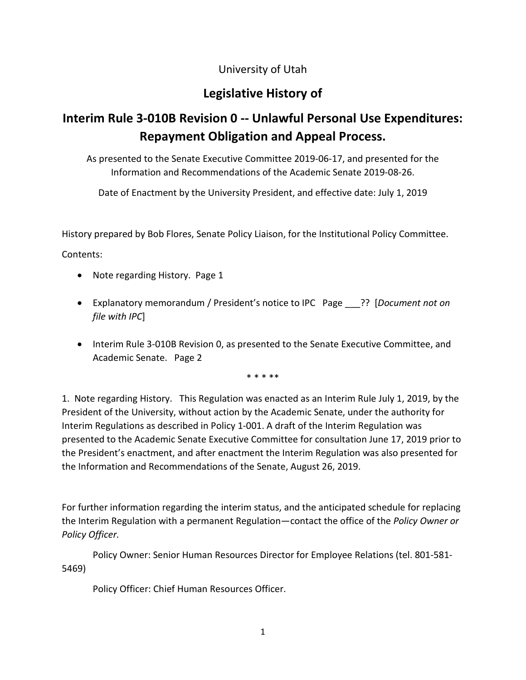### University of Utah

## **Legislative History of**

# **Interim Rule 3-010B Revision 0 -- Unlawful Personal Use Expenditures: Repayment Obligation and Appeal Process.**

As presented to the Senate Executive Committee 2019-06-17, and presented for the Information and Recommendations of the Academic Senate 2019-08-26.

Date of Enactment by the University President, and effective date: July 1, 2019

History prepared by Bob Flores, Senate Policy Liaison, for the Institutional Policy Committee.

Contents:

- Note regarding History. Page 1
- Explanatory memorandum / President's notice to IPC Page \_\_\_?? [*Document not on file with IPC*]
- Interim Rule 3-010B Revision 0, as presented to the Senate Executive Committee, and Academic Senate. Page 2

\* \* \* \*\*

1. Note regarding History. This Regulation was enacted as an Interim Rule July 1, 2019, by the President of the University, without action by the Academic Senate, under the authority for Interim Regulations as described in Policy 1-001. A draft of the Interim Regulation was presented to the Academic Senate Executive Committee for consultation June 17, 2019 prior to the President's enactment, and after enactment the Interim Regulation was also presented for the Information and Recommendations of the Senate, August 26, 2019.

For further information regarding the interim status, and the anticipated schedule for replacing the Interim Regulation with a permanent Regulation—contact the office of the *Policy Owner or Policy Officer.*

Policy Owner: Senior Human Resources Director for Employee Relations (tel. 801-581- 5469)

Policy Officer: Chief Human Resources Officer.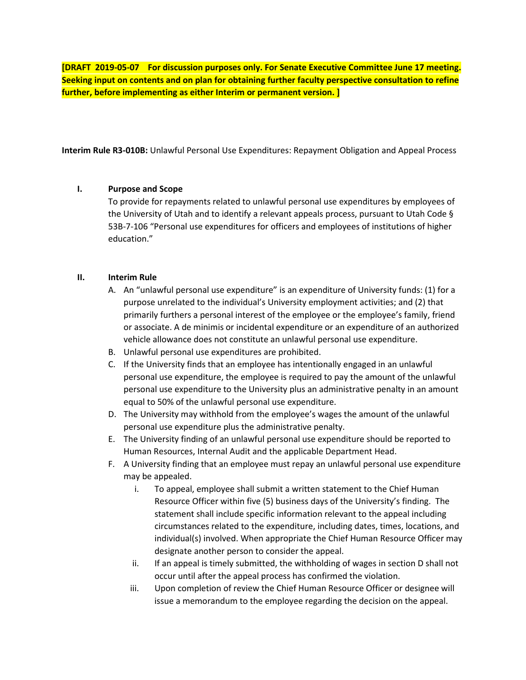**[DRAFT 2019-05-07 For discussion purposes only. For Senate Executive Committee June 17 meeting. Seeking input on contents and on plan for obtaining further faculty perspective consultation to refine further, before implementing as either Interim or permanent version. ]**

**Interim Rule R3-010B:** Unlawful Personal Use Expenditures: Repayment Obligation and Appeal Process

#### **I. Purpose and Scope**

To provide for repayments related to unlawful personal use expenditures by employees of the University of Utah and to identify a relevant appeals process, pursuant to Utah Code § 53B-7-106 "Personal use expenditures for officers and employees of institutions of higher education."

#### **II. Interim Rule**

- A. An "unlawful personal use expenditure" is an expenditure of University funds: (1) for a purpose unrelated to the individual's University employment activities; and (2) that primarily furthers a personal interest of the employee or the employee's family, friend or associate. A de minimis or incidental expenditure or an expenditure of an authorized vehicle allowance does not constitute an unlawful personal use expenditure.
- B. Unlawful personal use expenditures are prohibited.
- C. If the University finds that an employee has intentionally engaged in an unlawful personal use expenditure, the employee is required to pay the amount of the unlawful personal use expenditure to the University plus an administrative penalty in an amount equal to 50% of the unlawful personal use expenditure.
- D. The University may withhold from the employee's wages the amount of the unlawful personal use expenditure plus the administrative penalty.
- E. The University finding of an unlawful personal use expenditure should be reported to Human Resources, Internal Audit and the applicable Department Head.
- F. A University finding that an employee must repay an unlawful personal use expenditure may be appealed.
	- i. To appeal, employee shall submit a written statement to the Chief Human Resource Officer within five (5) business days of the University's finding. The statement shall include specific information relevant to the appeal including circumstances related to the expenditure, including dates, times, locations, and individual(s) involved. When appropriate the Chief Human Resource Officer may designate another person to consider the appeal.
	- ii. If an appeal is timely submitted, the withholding of wages in section D shall not occur until after the appeal process has confirmed the violation.
	- iii. Upon completion of review the Chief Human Resource Officer or designee will issue a memorandum to the employee regarding the decision on the appeal.